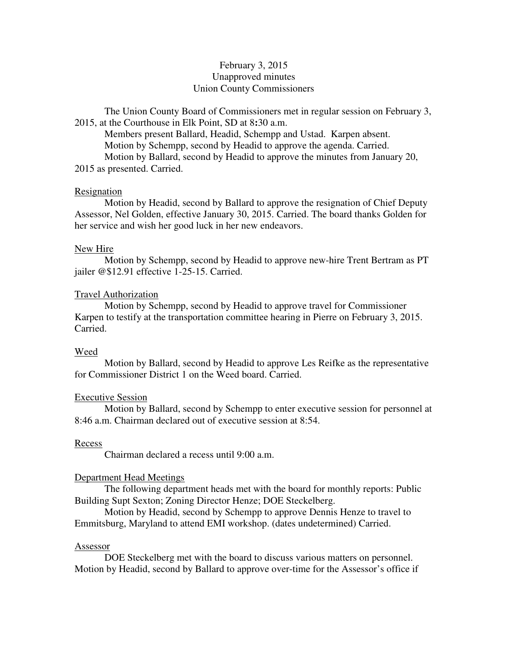# February 3, 2015 Unapproved minutes Union County Commissioners

The Union County Board of Commissioners met in regular session on February 3, 2015, at the Courthouse in Elk Point, SD at 8**:**30 a.m.

 Members present Ballard, Headid, Schempp and Ustad. Karpen absent. Motion by Schempp, second by Headid to approve the agenda. Carried. Motion by Ballard, second by Headid to approve the minutes from January 20, 2015 as presented. Carried.

### **Resignation**

 Motion by Headid, second by Ballard to approve the resignation of Chief Deputy Assessor, Nel Golden, effective January 30, 2015. Carried. The board thanks Golden for her service and wish her good luck in her new endeavors.

### New Hire

 Motion by Schempp, second by Headid to approve new-hire Trent Bertram as PT jailer @\$12.91 effective 1-25-15. Carried.

### Travel Authorization

 Motion by Schempp, second by Headid to approve travel for Commissioner Karpen to testify at the transportation committee hearing in Pierre on February 3, 2015. Carried.

#### Weed

 Motion by Ballard, second by Headid to approve Les Reifke as the representative for Commissioner District 1 on the Weed board. Carried.

#### Executive Session

 Motion by Ballard, second by Schempp to enter executive session for personnel at 8:46 a.m. Chairman declared out of executive session at 8:54.

### Recess

Chairman declared a recess until 9:00 a.m.

#### Department Head Meetings

 The following department heads met with the board for monthly reports: Public Building Supt Sexton; Zoning Director Henze; DOE Steckelberg.

 Motion by Headid, second by Schempp to approve Dennis Henze to travel to Emmitsburg, Maryland to attend EMI workshop. (dates undetermined) Carried.

### Assessor

 DOE Steckelberg met with the board to discuss various matters on personnel. Motion by Headid, second by Ballard to approve over-time for the Assessor's office if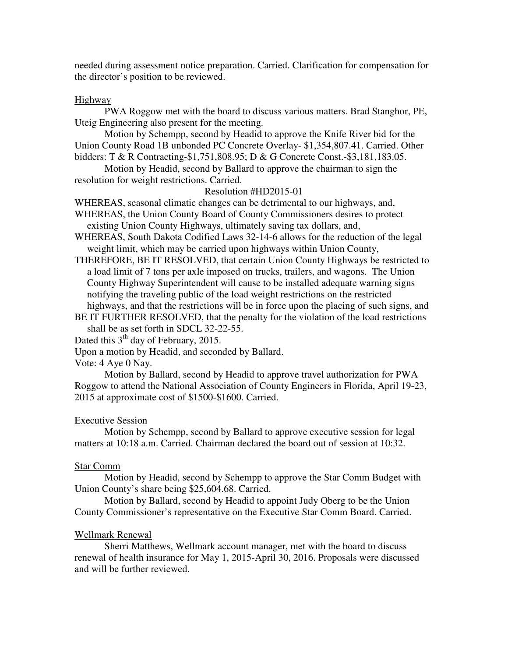needed during assessment notice preparation. Carried. Clarification for compensation for the director's position to be reviewed.

### Highway

 PWA Roggow met with the board to discuss various matters. Brad Stanghor, PE, Uteig Engineering also present for the meeting.

 Motion by Schempp, second by Headid to approve the Knife River bid for the Union County Road 1B unbonded PC Concrete Overlay- \$1,354,807.41. Carried. Other bidders: T & R Contracting-\$1,751,808.95; D & G Concrete Const.-\$3,181,183.05.

 Motion by Headid, second by Ballard to approve the chairman to sign the resolution for weight restrictions. Carried.

# Resolution #HD2015-01

WHEREAS, seasonal climatic changes can be detrimental to our highways, and,

WHEREAS, the Union County Board of County Commissioners desires to protect existing Union County Highways, ultimately saving tax dollars, and,

WHEREAS, South Dakota Codified Laws 32-14-6 allows for the reduction of the legal weight limit, which may be carried upon highways within Union County,

- THEREFORE, BE IT RESOLVED, that certain Union County Highways be restricted to a load limit of 7 tons per axle imposed on trucks, trailers, and wagons. The Union County Highway Superintendent will cause to be installed adequate warning signs notifying the traveling public of the load weight restrictions on the restricted highways, and that the restrictions will be in force upon the placing of such signs, and
- BE IT FURTHER RESOLVED, that the penalty for the violation of the load restrictions shall be as set forth in SDCL 32-22-55.

Dated this  $3<sup>th</sup>$  day of February, 2015.

Upon a motion by Headid, and seconded by Ballard.

Vote: 4 Aye 0 Nay.

 Motion by Ballard, second by Headid to approve travel authorization for PWA Roggow to attend the National Association of County Engineers in Florida, April 19-23, 2015 at approximate cost of \$1500-\$1600. Carried.

## Executive Session

 Motion by Schempp, second by Ballard to approve executive session for legal matters at 10:18 a.m. Carried. Chairman declared the board out of session at 10:32.

## Star Comm

 Motion by Headid, second by Schempp to approve the Star Comm Budget with Union County's share being \$25,604.68. Carried.

 Motion by Ballard, second by Headid to appoint Judy Oberg to be the Union County Commissioner's representative on the Executive Star Comm Board. Carried.

## Wellmark Renewal

 Sherri Matthews, Wellmark account manager, met with the board to discuss renewal of health insurance for May 1, 2015-April 30, 2016. Proposals were discussed and will be further reviewed.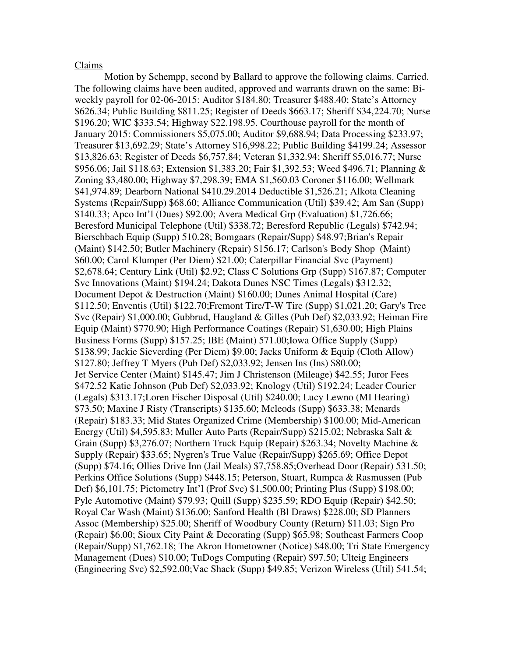### Claims

 Motion by Schempp, second by Ballard to approve the following claims. Carried. The following claims have been audited, approved and warrants drawn on the same: Biweekly payroll for 02-06-2015: Auditor \$184.80; Treasurer \$488.40; State's Attorney \$626.34; Public Building \$811.25; Register of Deeds \$663.17; Sheriff \$34,224.70; Nurse \$196.20; WIC \$333.54; Highway \$22.198.95. Courthouse payroll for the month of January 2015: Commissioners \$5,075.00; Auditor \$9,688.94; Data Processing \$233.97; Treasurer \$13,692.29; State's Attorney \$16,998.22; Public Building \$4199.24; Assessor \$13,826.63; Register of Deeds \$6,757.84; Veteran \$1,332.94; Sheriff \$5,016.77; Nurse \$956.06; Jail \$118.63; Extension \$1,383.20; Fair \$1,392.53; Weed \$496.71; Planning & Zoning \$3,480.00; Highway \$7,298.39; EMA \$1,560.03 Coroner \$116.00; Wellmark \$41,974.89; Dearborn National \$410.29.2014 Deductible \$1,526.21; Alkota Cleaning Systems (Repair/Supp) \$68.60; Alliance Communication (Util) \$39.42; Am San (Supp) \$140.33; Apco Int'l (Dues) \$92.00; Avera Medical Grp (Evaluation) \$1,726.66; Beresford Municipal Telephone (Util) \$338.72; Beresford Republic (Legals) \$742.94; Bierschbach Equip (Supp) 510.28; Bomgaars (Repair/Supp) \$48.97;Brian's Repair (Maint) \$142.50; Butler Machinery (Repair) \$156.17; Carlson's Body Shop (Maint) \$60.00; Carol Klumper (Per Diem) \$21.00; Caterpillar Financial Svc (Payment) \$2,678.64; Century Link (Util) \$2.92; Class C Solutions Grp (Supp) \$167.87; Computer Svc Innovations (Maint) \$194.24; Dakota Dunes NSC Times (Legals) \$312.32; Document Depot & Destruction (Maint) \$160.00; Dunes Animal Hospital (Care) \$112.50; Enventis (Util) \$122.70;Fremont Tire/T-W Tire (Supp) \$1,021.20; Gary's Tree Svc (Repair) \$1,000.00; Gubbrud, Haugland & Gilles (Pub Def) \$2,033.92; Heiman Fire Equip (Maint) \$770.90; High Performance Coatings (Repair) \$1,630.00; High Plains Business Forms (Supp) \$157.25; IBE (Maint) 571.00;Iowa Office Supply (Supp) \$138.99; Jackie Sieverding (Per Diem) \$9.00; Jacks Uniform & Equip (Cloth Allow) \$127.80; Jeffrey T Myers (Pub Def) \$2,033.92; Jensen Ins (Ins) \$80.00; Jet Service Center (Maint) \$145.47; Jim J Christenson (Mileage) \$42.55; Juror Fees \$472.52 Katie Johnson (Pub Def) \$2,033.92; Knology (Util) \$192.24; Leader Courier (Legals) \$313.17;Loren Fischer Disposal (Util) \$240.00; Lucy Lewno (MI Hearing) \$73.50; Maxine J Risty (Transcripts) \$135.60; Mcleods (Supp) \$633.38; Menards (Repair) \$183.33; Mid States Organized Crime (Membership) \$100.00; Mid-American Energy (Util) \$4,595.83; Muller Auto Parts (Repair/Supp) \$215.02; Nebraska Salt & Grain (Supp) \$3,276.07; Northern Truck Equip (Repair) \$263.34; Novelty Machine & Supply (Repair) \$33.65; Nygren's True Value (Repair/Supp) \$265.69; Office Depot (Supp) \$74.16; Ollies Drive Inn (Jail Meals) \$7,758.85;Overhead Door (Repair) 531.50; Perkins Office Solutions (Supp) \$448.15; Peterson, Stuart, Rumpca & Rasmussen (Pub Def) \$6,101.75; Pictometry Int'l (Prof Svc) \$1,500.00; Printing Plus (Supp) \$198.00; Pyle Automotive (Maint) \$79.93; Quill (Supp) \$235.59; RDO Equip (Repair) \$42.50; Royal Car Wash (Maint) \$136.00; Sanford Health (Bl Draws) \$228.00; SD Planners Assoc (Membership) \$25.00; Sheriff of Woodbury County (Return) \$11.03; Sign Pro (Repair) \$6.00; Sioux City Paint & Decorating (Supp) \$65.98; Southeast Farmers Coop (Repair/Supp) \$1,762.18; The Akron Hometowner (Notice) \$48.00; Tri State Emergency Management (Dues) \$10.00; TuDogs Computing (Repair) \$97.50; Ulteig Engineers (Engineering Svc) \$2,592.00;Vac Shack (Supp) \$49.85; Verizon Wireless (Util) 541.54;